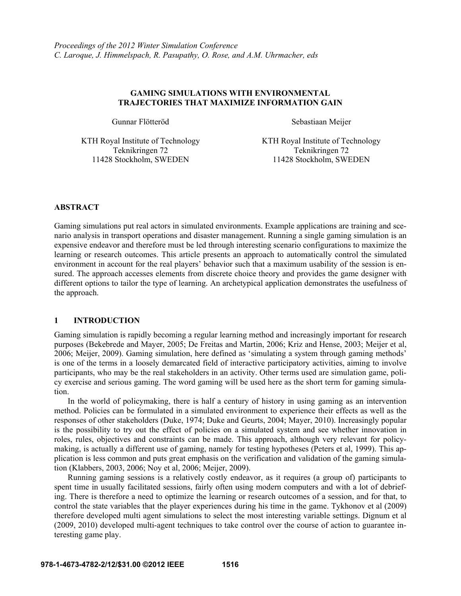### **GAMING SIMULATIONS WITH ENVIRONMENTAL TRAJECTORIES THAT MAXIMIZE INFORMATION GAIN**

Gunnar Flötteröd Sebastiaan Meijer

KTH Royal Institute of Technology KTH Royal Institute of Technology Teknikringen 72 Teknikringen 72 11428 Stockholm, SWEDEN 11428 Stockholm, SWEDEN

# **ABSTRACT**

Gaming simulations put real actors in simulated environments. Example applications are training and scenario analysis in transport operations and disaster management. Running a single gaming simulation is an expensive endeavor and therefore must be led through interesting scenario configurations to maximize the learning or research outcomes. This article presents an approach to automatically control the simulated environment in account for the real players' behavior such that a maximum usability of the session is ensured. The approach accesses elements from discrete choice theory and provides the game designer with different options to tailor the type of learning. An archetypical application demonstrates the usefulness of the approach.

## **1 INTRODUCTION**

Gaming simulation is rapidly becoming a regular learning method and increasingly important for research purposes (Bekebrede and Mayer, 2005; De Freitas and Martin, 2006; Kriz and Hense, 2003; Meijer et al, 2006; Meijer, 2009). Gaming simulation, here defined as 'simulating a system through gaming methods' is one of the terms in a loosely demarcated field of interactive participatory activities, aiming to involve participants, who may be the real stakeholders in an activity. Other terms used are simulation game, policy exercise and serious gaming. The word gaming will be used here as the short term for gaming simulation.

In the world of policymaking, there is half a century of history in using gaming as an intervention method. Policies can be formulated in a simulated environment to experience their effects as well as the responses of other stakeholders (Duke, 1974; Duke and Geurts, 2004; Mayer, 2010). Increasingly popular is the possibility to try out the effect of policies on a simulated system and see whether innovation in roles, rules, objectives and constraints can be made. This approach, although very relevant for policymaking, is actually a different use of gaming, namely for testing hypotheses (Peters et al, 1999). This application is less common and puts great emphasis on the verification and validation of the gaming simulation (Klabbers, 2003, 2006; Noy et al, 2006; Meijer, 2009).

Running gaming sessions is a relatively costly endeavor, as it requires (a group of) participants to spent time in usually facilitated sessions, fairly often using modern computers and with a lot of debriefing. There is therefore a need to optimize the learning or research outcomes of a session, and for that, to control the state variables that the player experiences during his time in the game. Tykhonov et al (2009) therefore developed multi agent simulations to select the most interesting variable settings. Dignum et al (2009, 2010) developed multi-agent techniques to take control over the course of action to guarantee interesting game play.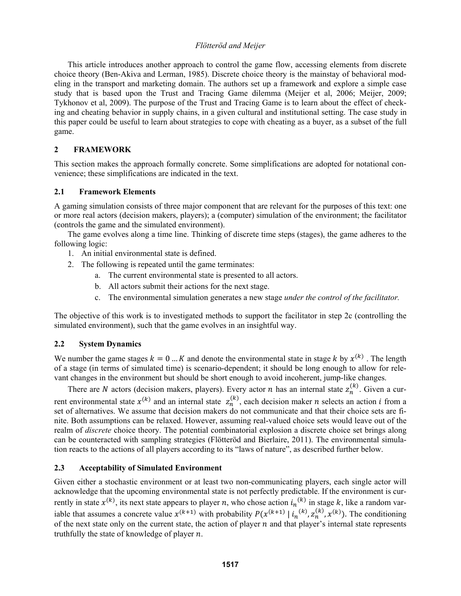This article introduces another approach to control the game flow, accessing elements from discrete choice theory (Ben-Akiva and Lerman, 1985). Discrete choice theory is the mainstay of behavioral modeling in the transport and marketing domain. The authors set up a framework and explore a simple case study that is based upon the Trust and Tracing Game dilemma (Meijer et al, 2006; Meijer, 2009; Tykhonov et al, 2009). The purpose of the Trust and Tracing Game is to learn about the effect of checking and cheating behavior in supply chains, in a given cultural and institutional setting. The case study in this paper could be useful to learn about strategies to cope with cheating as a buyer, as a subset of the full game.

# **2 FRAMEWORK**

This section makes the approach formally concrete. Some simplifications are adopted for notational convenience; these simplifications are indicated in the text.

# **2.1 Framework Elements**

A gaming simulation consists of three major component that are relevant for the purposes of this text: one or more real actors (decision makers, players); a (computer) simulation of the environment; the facilitator (controls the game and the simulated environment).

The game evolves along a time line. Thinking of discrete time steps (stages), the game adheres to the following logic:

- 1. An initial environmental state is defined.
- 2. The following is repeated until the game terminates:
	- a. The current environmental state is presented to all actors.
	- b. All actors submit their actions for the next stage.
	- c. The environmental simulation generates a new stage *under the control of the facilitator.*

The objective of this work is to investigated methods to support the facilitator in step 2c (controlling the simulated environment), such that the game evolves in an insightful way.

# **2.2 System Dynamics**

We number the game stages  $k = 0...K$  and denote the environmental state in stage k by  $x^{(k)}$ . The length of a stage (in terms of simulated time) is scenario-dependent; it should be long enough to allow for relevant changes in the environment but should be short enough to avoid incoherent, jump-like changes.

There are N actors (decision makers, players). Every actor n has an internal state  $z_n^{(k)}$ . Given a current environmental state  $x^{(k)}$  and an internal state  $z_n^{(k)}$ , each decision maker *n* selects an action *i* from a set of alternatives. We assume that decision makers do not communicate and that their choice sets are finite. Both assumptions can be relaxed. However, assuming real-valued choice sets would leave out of the realm of *discrete* choice theory. The potential combinatorial explosion a discrete choice set brings along can be counteracted with sampling strategies (Flötteröd and Bierlaire, 2011). The environmental simulation reacts to the actions of all players according to its "laws of nature", as described further below.

# **2.3 Acceptability of Simulated Environment**

Given either a stochastic environment or at least two non-communicating players, each single actor will acknowledge that the upcoming environmental state is not perfectly predictable. If the environment is currently in state  $x^{(k)}$ , its next state appears to player *n*, who chose action  $i_n^{(k)}$  in stage *k*, like a random variable that assumes a concrete value  $x^{(k+1)}$  with probability  $P(x^{(k+1)} | i_n^{(k)}, z_n^{(k)}, x^{(k)})$ . The conditioning of the next state only on the current state, the action of player  $n$  and that player's internal state represents truthfully the state of knowledge of player  $n$ .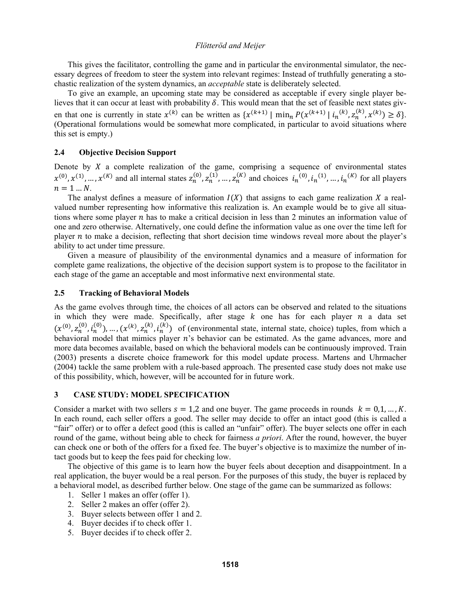This gives the facilitator, controlling the game and in particular the environmental simulator, the necessary degrees of freedom to steer the system into relevant regimes: Instead of truthfully generating a stochastic realization of the system dynamics, an *acceptable* state is deliberately selected.

To give an example, an upcoming state may be considered as acceptable if every single player believes that it can occur at least with probability  $\delta$ . This would mean that the set of feasible next states given that one is currently in state  $x^{(k)}$  can be written as  $\{x^{(k+1)} \mid \min_n P(x^{(k+1)} \mid i_n^{(k)}, z_n^{(k)}, x^{(k)}) \ge \delta\}.$ (Operational formulations would be somewhat more complicated, in particular to avoid situations where this set is empty.)

#### **2.4 Objective Decision Support**

Denote by  $X$  a complete realization of the game, comprising a sequence of environmental states  $x^{(0)}, x^{(1)}, ..., x^{(K)}$  and all internal states  $z_n^{(0)}, z_n^{(1)}, ..., z_n^{(K)}$  and choices  $i_n^{(0)}, i_n^{(1)}, ..., i_n^{(K)}$  for all players  $n = 1 ... N$ .

The analyst defines a measure of information  $I(X)$  that assigns to each game realization X a realvalued number representing how informative this realization is. An example would be to give all situations where some player  $n$  has to make a critical decision in less than 2 minutes an information value of one and zero otherwise. Alternatively, one could define the information value as one over the time left for player  $n$  to make a decision, reflecting that short decision time windows reveal more about the player's ability to act under time pressure.

Given a measure of plausibility of the environmental dynamics and a measure of information for complete game realizations, the objective of the decision support system is to propose to the facilitator in each stage of the game an acceptable and most informative next environmental state.

#### **2.5 Tracking of Behavioral Models**

As the game evolves through time, the choices of all actors can be observed and related to the situations in which they were made. Specifically, after stage  $k$  one has for each player  $n$  a data set  $(x^{(0)}, z_n^{(0)}, i_n^{(0)})$ , ...,  $(x^{(k)}, z_n^{(k)}, i_n^{(k)})$  of (environmental state, internal state, choice) tuples, from which a behavioral model that mimics player  $n$ 's behavior can be estimated. As the game advances, more and more data becomes available, based on which the behavioral models can be continuously improved. Train (2003) presents a discrete choice framework for this model update process. Martens and Uhrmacher (2004) tackle the same problem with a rule-based approach. The presented case study does not make use of this possibility, which, however, will be accounted for in future work.

## **3 CASE STUDY: MODEL SPECIFICATION**

Consider a market with two sellers  $s = 1,2$  and one buyer. The game proceeds in rounds  $k = 0,1,..., K$ . In each round, each seller offers a good. The seller may decide to offer an intact good (this is called a "fair" offer) or to offer a defect good (this is called an "unfair" offer). The buyer selects one offer in each round of the game, without being able to check for fairness *a priori*. After the round, however, the buyer can check one or both of the offers for a fixed fee. The buyer's objective is to maximize the number of intact goods but to keep the fees paid for checking low.

The objective of this game is to learn how the buyer feels about deception and disappointment. In a real application, the buyer would be a real person. For the purposes of this study, the buyer is replaced by a behavioral model, as described further below. One stage of the game can be summarized as follows:

- 1. Seller 1 makes an offer (offer 1).
- 2. Seller 2 makes an offer (offer 2).
- 3. Buyer selects between offer 1 and 2.
- 4. Buyer decides if to check offer 1.
- 5. Buyer decides if to check offer 2.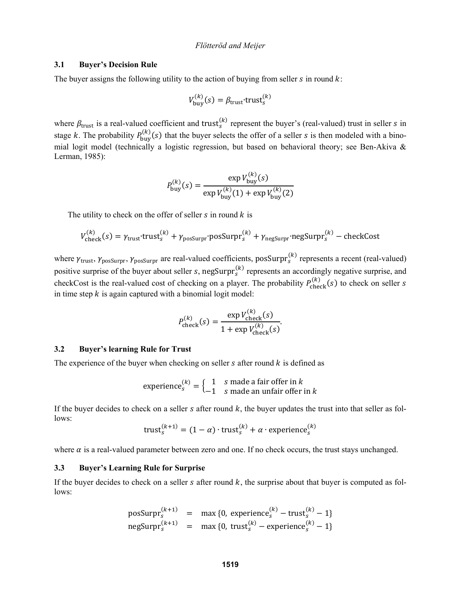#### **3.1 Buyer's Decision Rule**

The buyer assigns the following utility to the action of buying from seller  $s$  in round  $k$ :

$$
V_{\text{buy}}^{(k)}(s) = \beta_{\text{trust}} \cdot \text{trust}_s^{(k)}
$$

where  $\beta_{\text{trust}}$  is a real-valued coefficient and trust<sup>(k)</sup> represent the buyer's (real-valued) trust in seller *s* in stage k. The probability  $P_{\text{buy}}^{(k)}(s)$  that the buyer selects the offer of a seller s is then modeled with a binomial logit model (technically a logistic regression, but based on behavioral theory; see Ben-Akiva  $\&$ Lerman, 1985):

$$
P_{\text{buy}}^{(k)}(s) = \frac{\exp V_{\text{buy}}^{(k)}(s)}{\exp V_{\text{buy}}^{(k)}(1) + \exp V_{\text{buy}}^{(k)}(2)}
$$

The utility to check on the offer of seller  $s$  in round  $k$  is

$$
V_{\text{check}}^{(k)}(s) = \gamma_{\text{trust}} \cdot \text{trust}_{s}^{(k)} + \gamma_{\text{posSurpr}} \cdot \text{posSurpr}_{s}^{(k)} + \gamma_{\text{negSurpr}} \cdot \text{negSurpr}_{s}^{(k)} - \text{checkCost}
$$

where  $\gamma_{\text{trust}}$ ,  $\gamma_{\text{posSurpr}}$ ,  $\gamma_{\text{posSurpr}}$  are real-valued coefficients, posSurpr $_s^{(k)}$  represents a recent (real-valued) positive surprise of the buyer about seller s, negSurpr $s^{(k)}$  represents an accordingly negative surprise, and checkCost is the real-valued cost of checking on a player. The probability  $P_{\text{check}}^{(k)}(s)$  to check on seller s in time step  $k$  is again captured with a binomial logit model:

$$
P_{\text{check}}^{(k)}(s) = \frac{\exp V_{\text{check}}^{(k)}(s)}{1 + \exp V_{\text{check}}^{(k)}(s)}.
$$

### **3.2 Buyer's learning Rule for Trust**

The experience of the buyer when checking on seller  $s$  after round  $k$  is defined as

\n
$$
\text{experience}_s^{(k)} = \n \begin{cases}\n 1 & \text{grade a fair offer in } k \\
-1 & \text{smade an unfair offer in } k\n \end{cases}
$$
\n

If the buyer decides to check on a seller s after round  $k$ , the buyer updates the trust into that seller as follows:

$$
trust_s^{(k+1)} = (1 - \alpha) \cdot trust_s^{(k)} + \alpha \cdot experience_s^{(k)}
$$

where  $\alpha$  is a real-valued parameter between zero and one. If no check occurs, the trust stays unchanged.

## **3.3 Buyer's Learning Rule for Surprise**

If the buyer decides to check on a seller s after round  $k$ , the surprise about that buyer is computed as follows:

$$
poss_{s}^{(k+1)} = \max\{0, \text{ experience}_{s}^{(k)} - \text{trust}_{s}^{(k)} - 1\}
$$
  

$$
negSur_{s}^{(k+1)} = \max\{0, \text{ trust}_{s}^{(k)} - \text{experience}_{s}^{(k)} - 1\}
$$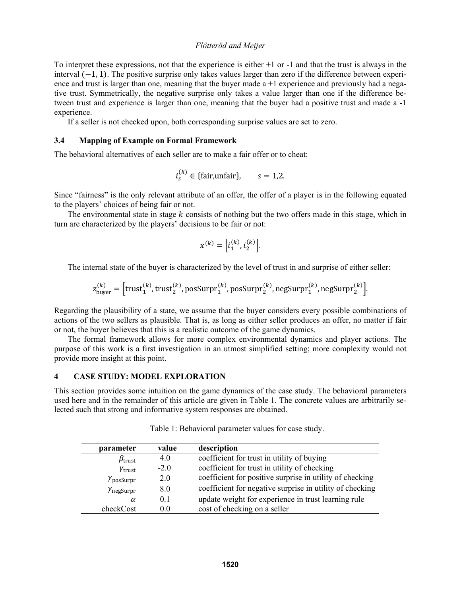To interpret these expressions, not that the experience is either +1 or -1 and that the trust is always in the interval (−1, 1). The positive surprise only takes values larger than zero if the difference between experience and trust is larger than one, meaning that the buyer made  $a + 1$  experience and previously had a negative trust. Symmetrically, the negative surprise only takes a value larger than one if the difference between trust and experience is larger than one, meaning that the buyer had a positive trust and made a -1 experience.

If a seller is not checked upon, both corresponding surprise values are set to zero.

## **3.4 Mapping of Example on Formal Framework**

The behavioral alternatives of each seller are to make a fair offer or to cheat:

$$
i_s^{(k)} \in \{\text{fair}, \text{unfair}\}, \qquad s = 1, 2.
$$

Since "fairness" is the only relevant attribute of an offer, the offer of a player is in the following equated to the players' choices of being fair or not.

The environmental state in stage  $k$  consists of nothing but the two offers made in this stage, which in turn are characterized by the players' decisions to be fair or not:

$$
x^{(k)} = \left[i_1^{(k)}, i_2^{(k)}\right].
$$

The internal state of the buyer is characterized by the level of trust in and surprise of either seller:

$$
z_{\text{burger}}^{(k)} = \Big[\text{trust}_1^{(k)}, \text{trust}_2^{(k)}, \text{posSurpr}_1^{(k)}, \text{posSurpr}_2^{(k)}, \text{negSurpr}_1^{(k)}, \text{negSurpr}_2^{(k)}\Big].
$$

Regarding the plausibility of a state, we assume that the buyer considers every possible combinations of actions of the two sellers as plausible. That is, as long as either seller produces an offer, no matter if fair or not, the buyer believes that this is a realistic outcome of the game dynamics.

The formal framework allows for more complex environmental dynamics and player actions. The purpose of this work is a first investigation in an utmost simplified setting; more complexity would not provide more insight at this point.

## **4 CASE STUDY: MODEL EXPLORATION**

This section provides some intuition on the game dynamics of the case study. The behavioral parameters used here and in the remainder of this article are given in Table 1. The concrete values are arbitrarily selected such that strong and informative system responses are obtained.

| parameter               | value            | description                                              |
|-------------------------|------------------|----------------------------------------------------------|
| $\beta_{\rm trust}$     | 4.0              | coefficient for trust in utility of buying               |
| $\gamma_{\rm trust}$    | $-2.0$           | coefficient for trust in utility of checking             |
| $\gamma_{\rm posSurpr}$ | 2.0              | coefficient for positive surprise in utility of checking |
| $\gamma$ negSurpr       | 8.0              | coefficient for negative surprise in utility of checking |
| $\alpha$                | $\overline{0}$ 1 | update weight for experience in trust learning rule      |
| checkCost               | ()()             | cost of checking on a seller                             |

Table 1: Behavioral parameter values for case study.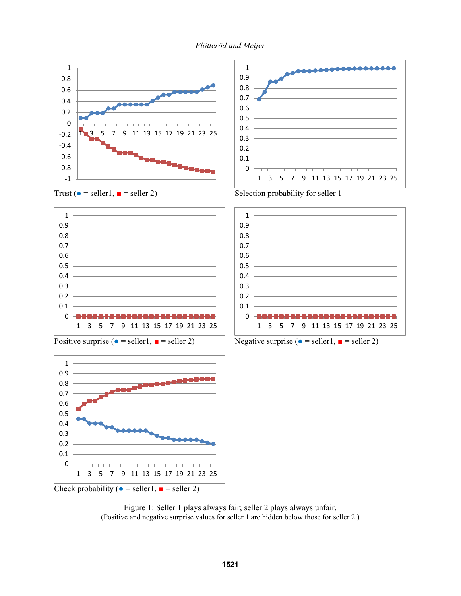

















Figure 1: Seller 1 plays always fair; seller 2 plays always unfair. (Positive and negative surprise values for seller 1 are hidden below those for seller 2.)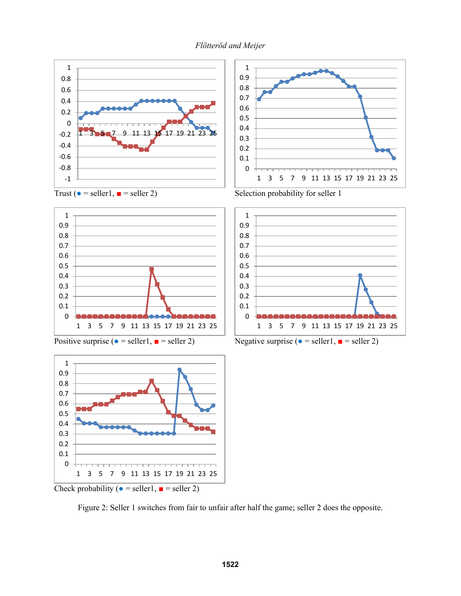









Trust ( $\bullet$  = seller 1,  $\bullet$  = seller 2) Selection probability for seller 1





Figure 2: Seller 1 switches from fair to unfair after half the game; seller 2 does the opposite.

*Flötteröd and Meijer*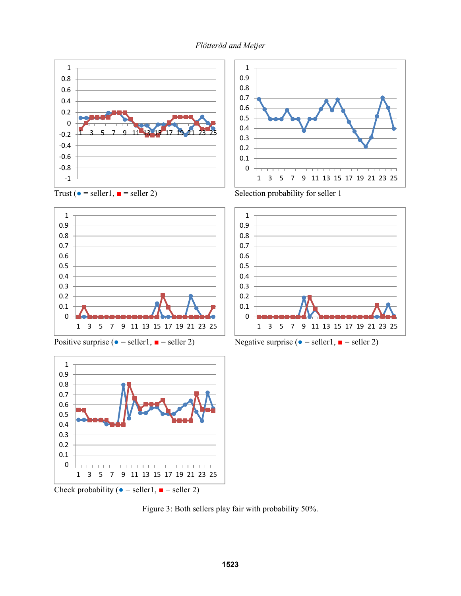







Figure 3: Both sellers play fair with probability 50%.



Trust ( $\bullet$  = seller 1,  $\bullet$  = seller 2) Selection probability for seller 1



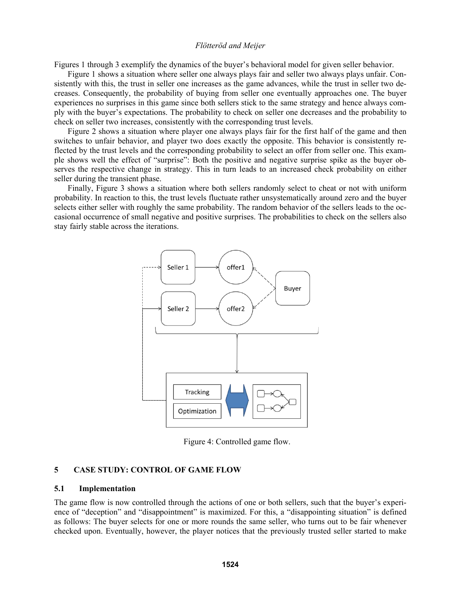Figures 1 through 3 exemplify the dynamics of the buyer's behavioral model for given seller behavior.

Figure 1 shows a situation where seller one always plays fair and seller two always plays unfair. Consistently with this, the trust in seller one increases as the game advances, while the trust in seller two decreases. Consequently, the probability of buying from seller one eventually approaches one. The buyer experiences no surprises in this game since both sellers stick to the same strategy and hence always comply with the buyer's expectations. The probability to check on seller one decreases and the probability to check on seller two increases, consistently with the corresponding trust levels.

Figure 2 shows a situation where player one always plays fair for the first half of the game and then switches to unfair behavior, and player two does exactly the opposite. This behavior is consistently reflected by the trust levels and the corresponding probability to select an offer from seller one. This example shows well the effect of "surprise": Both the positive and negative surprise spike as the buyer observes the respective change in strategy. This in turn leads to an increased check probability on either seller during the transient phase.

Finally, Figure 3 shows a situation where both sellers randomly select to cheat or not with uniform probability. In reaction to this, the trust levels fluctuate rather unsystematically around zero and the buyer selects either seller with roughly the same probability. The random behavior of the sellers leads to the occasional occurrence of small negative and positive surprises. The probabilities to check on the sellers also stay fairly stable across the iterations.



Figure 4: Controlled game flow.

## **5 CASE STUDY: CONTROL OF GAME FLOW**

## **5.1 Implementation**

The game flow is now controlled through the actions of one or both sellers, such that the buyer's experience of "deception" and "disappointment" is maximized. For this, a "disappointing situation" is defined as follows: The buyer selects for one or more rounds the same seller, who turns out to be fair whenever checked upon. Eventually, however, the player notices that the previously trusted seller started to make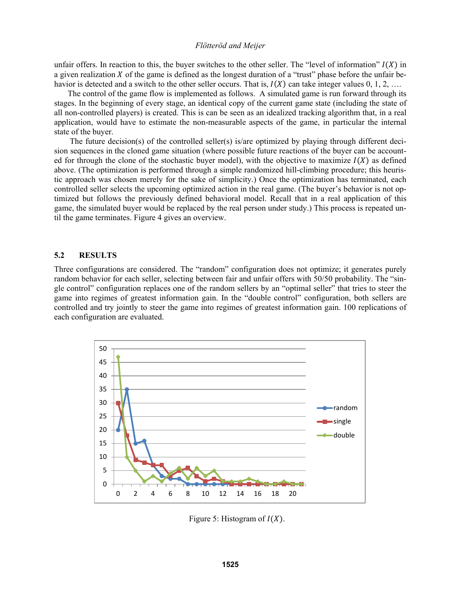unfair offers. In reaction to this, the buyer switches to the other seller. The "level of information"  $I(X)$  in a given realization  $X$  of the game is defined as the longest duration of a "trust" phase before the unfair behavior is detected and a switch to the other seller occurs. That is,  $I(X)$  can take integer values 0, 1, 2, ...

The control of the game flow is implemented as follows. A simulated game is run forward through its stages. In the beginning of every stage, an identical copy of the current game state (including the state of all non-controlled players) is created. This is can be seen as an idealized tracking algorithm that, in a real application, would have to estimate the non-measurable aspects of the game, in particular the internal state of the buyer.

The future decision(s) of the controlled seller(s) is/are optimized by playing through different decision sequences in the cloned game situation (where possible future reactions of the buyer can be accounted for through the clone of the stochastic buyer model), with the objective to maximize  $I(X)$  as defined above. (The optimization is performed through a simple randomized hill-climbing procedure; this heuristic approach was chosen merely for the sake of simplicity.) Once the optimization has terminated, each controlled seller selects the upcoming optimized action in the real game. (The buyer's behavior is not optimized but follows the previously defined behavioral model. Recall that in a real application of this game, the simulated buyer would be replaced by the real person under study.) This process is repeated until the game terminates. Figure 4 gives an overview.

#### **5.2 RESULTS**

Three configurations are considered. The "random" configuration does not optimize; it generates purely random behavior for each seller, selecting between fair and unfair offers with 50/50 probability. The "single control" configuration replaces one of the random sellers by an "optimal seller" that tries to steer the game into regimes of greatest information gain. In the "double control" configuration, both sellers are controlled and try jointly to steer the game into regimes of greatest information gain. 100 replications of each configuration are evaluated.



Figure 5: Histogram of  $I(X)$ .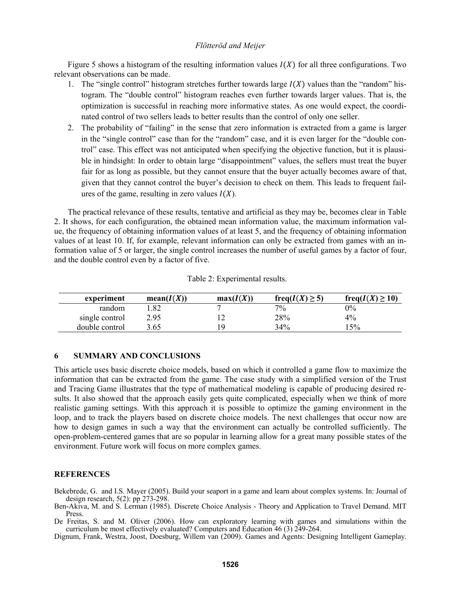Figure 5 shows a histogram of the resulting information values  $I(X)$  for all three configurations. Two relevant observations can be made.

- 1. The "single control" histogram stretches further towards large  $I(X)$  values than the "random" histogram. The "double control" histogram reaches even further towards larger values. That is, the optimization is successful in reaching more informative states. As one would expect, the coordinated control of two sellers leads to better results than the control of only one seller.
- 2. The probability of "failing" in the sense that zero information is extracted from a game is larger in the "single control" case than for the "random" case, and it is even larger for the "double control" case. This effect was not anticipated when specifying the objective function, but it is plausible in hindsight: In order to obtain large "disappointment" values, the sellers must treat the buyer fair for as long as possible, but they cannot ensure that the buyer actually becomes aware of that, given that they cannot control the buyer's decision to check on them. This leads to frequent failures of the game, resulting in zero values  $I(X)$ .

The practical relevance of these results, tentative and artificial as they may be, becomes clear in Table 2. It shows, for each configuration, the obtained mean information value, the maximum information value, the frequency of obtaining information values of at least 5, and the frequency of obtaining information values of at least 10. If, for example, relevant information can only be extracted from games with an information value of 5 or larger, the single control increases the number of useful games by a factor of four, and the double control even by a factor of five.

| experiment     | mean(I(X)) | max(I(X)) | freq( $I(X) \geq 5$ ) | freq( $I(X) \ge 10$ ) |
|----------------|------------|-----------|-----------------------|-----------------------|
| random         | .82        |           | $7\%$                 | 0%                    |
| single control | 2.95       |           | 28%                   | $4\%$                 |
| double control | 3.65       |           | 34%                   | $5\%$                 |

|  | Table 2: Experimental results. |  |
|--|--------------------------------|--|
|--|--------------------------------|--|

## **6 SUMMARY AND CONCLUSIONS**

This article uses basic discrete choice models, based on which it controlled a game flow to maximize the information that can be extracted from the game. The case study with a simplified version of the Trust and Tracing Game illustrates that the type of mathematical modeling is capable of producing desired results. It also showed that the approach easily gets quite complicated, especially when we think of more realistic gaming settings. With this approach it is possible to optimize the gaming environment in the loop, and to track the players based on discrete choice models. The next challenges that occur now are how to design games in such a way that the environment can actually be controlled sufficiently. The open-problem-centered games that are so popular in learning allow for a great many possible states of the environment. Future work will focus on more complex games.

### **REFERENCES**

Bekebrede, G. and I.S. Mayer (2005). Build your seaport in a game and learn about complex systems. In: Journal of design research, 5(2): pp 273-298.

Ben-Akiva, M. and S. Lerman (1985). Discrete Choice Analysis - Theory and Application to Travel Demand. MIT Press.

De Freitas, S. and M. Oliver (2006). How can exploratory learning with games and simulations within the curriculum be most effectively evaluated? Computers and Education 46 (3) 249-264.

Dignum, Frank, Westra, Joost, Doesburg, Willem van (2009). Games and Agents: Designing Intelligent Gameplay.